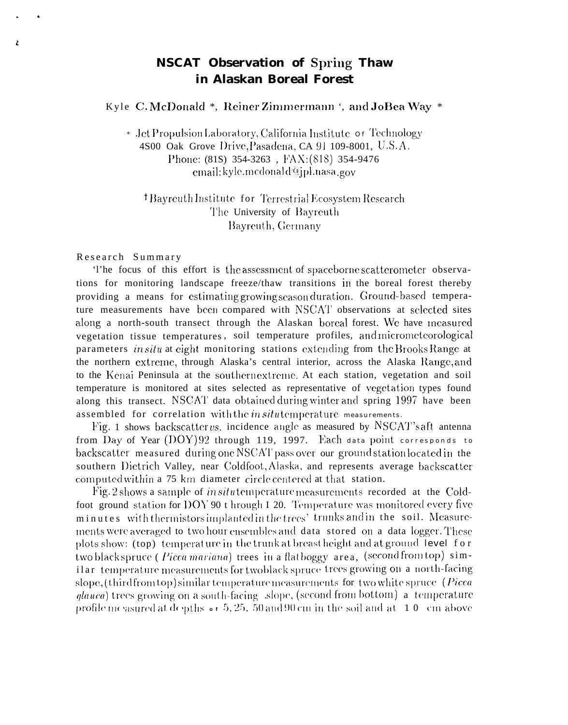# **NSCAT Observation of Spring Thaw** in Alaskan Boreal Forest

### Kyle C. McDonald \*, Reiner Zimmermann ', and JoBea Way \*

\* Jet Propulsion Laboratory, California Institute or Technology 4S00 Oak Grove Drive, Pasadena, CA 91 109-8001, U.S.A. Phone: (81S) 354-3263, FAX: (818) 354-9476 email: kyle. mcdonal d<sup>o</sup>jpl. nasa .gov

## <sup>†</sup>Bayreuth Institute for Terrestrial Ecosystem Research The University of Bayreuth Bayreuth, Germany

### Research Summary

ž

The focus of this effort is the assessment of spaceborne scatterometer observations for monitoring landscape freeze/thaw transitions in the boreal forest thereby providing a means for estimating growing season duration. Ground-based temperature measurements have been compared with NSCAT observations at selected sites along a north-south transect through the Alaskan boreal forest. We have measured vegetation tissue temperatures, soil temperature profiles, and micrometeorological parameters *in situ* at eight monitoring stations extending from the Brooks Range at the northern extreme, through Alaska's central interior, across the Alaska Range, and to the Kenai Peninsula at the southernextreme. At each station, vegetation and soil temperature is monitored at sites selected as representative of vegetation types found along this transect. NSCAT data obtained during winter and spring 1997 have been assembled for correlation with the in situtemperature measurements.

Fig. 1 shows backscatter vs. incidence angle as measured by NSCAT's aft antenna from Day of Year (DOY) 92 through 119, 1997. Each data point corresponds to backscatter measured during one NSCAT pass over our ground station located in the southern Dietrich Valley, near Coldfoot, Alaska, and represents average backscatter computed within a 75 km diameter circle centered at that station.

Fig. 2 shows a sample of *in situtemperature measurements* recorded at the Coldfoot ground station for DOY 90 through I 20. Temperature was monitored every five minutes with thermistors implanted in the trees' trunks and in the soil. Measurements were averaged to two hour ensembles and data stored on a data logger. These plots show: (top) temperature in the trunk at breast height and at ground level for two black spruce (*Picca mariana*) trees in a flatboggy area, (second from top) similar temperature measurements for twoblack spruce trees growing on a north-facing slope, (third from top) similar temperature measurements for two white spruce (Picea *glauca*) trees growing on a south-facing slope, (second from bottom) a temperature profile measured at depths  $\circ$  + 5, 25, 50 and 90 cm in the soil and at 10 cm above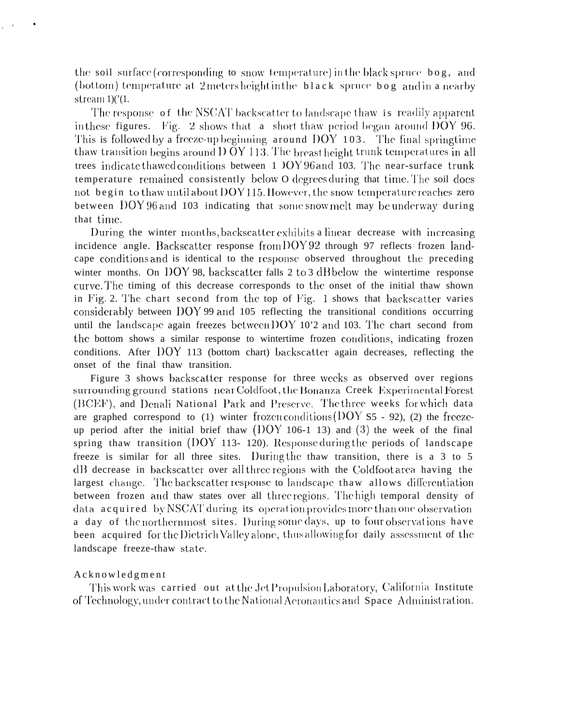the soil surface (corresponding to snow temperature) in the black spruce bog, and (bottom) temperature at 2 meters height in the black spruce bog and in a nearby stream  $1)(1$ .

The response of the NSCAT backscatter to landscape thaw is readily apparent in these figures. Fig. 2 shows that a short thaw period began around DOY 96. This is followed by a freeze-up beginning around DOY 103. The final springtime thaw transition begins around  $D OY 113$ . The breast height trunk temperatures in all trees indicate thawed conditions between 1 OY 96 and 103. The near-surface trunk temperature remained consistently below O degrees during that time. The soil does not begin to thaw until about DOY 115. However, the snow temperature reaches zero between DOY 96 and 103 indicating that some snow melt may be underway during that time.

During the winter months, backscatter exhibits a linear decrease with increasing incidence angle. Backscatter response from  $DOY92$  through 97 reflects frozen landcape conditions and is identical to the response observed throughout the preceding winter months. On DOY 98, backscatter falls 2 to 3 dB below the wintertime response curve. The timing of this decrease corresponds to the onset of the initial thaw shown in Fig. 2. The chart second from the top of Fig. 1 shows that backscatter varies considerably between  $100Y$  99 and 105 reflecting the transitional conditions occurring until the landscape again freezes between DOY 10'2 and 103. The chart second from the bottom shows a similar response to wintertime frozen conditions, indicating frozen conditions. After DOY 113 (bottom chart) backscatter again decreases, reflecting the onset of the final thaw transition.

Figure 3 shows backscatter response for three weeks as observed over regions surrounding ground stations near Coldfoot, the Bonanza Creek Experimental Forest (BCEF), and Denali National Park and Preserve. The three weeks for which data are graphed correspond to (1) winter frozen conditions (DOY  $S$ 5 - 92), (2) the freezeup period after the initial brief thaw  $(1)OY$  106-1 13) and  $(3)$  the week of the final spring thaw transition (DOY 113-120). Response during the periods of landscape freeze is similar for all three sites. During the thaw transition, there is a 3 to 5 dB decrease in backscatter over all three regions with the Coldfoot area having the largest change. The backscatter response to landscape thaw allows differentiation between frozen and thaw states over all three regions. The high temporal density of data acquired by NSCAT during its operation provides more than one observation a day of the northernmost sites. During some days, up to four observations have been acquired for the Dietrich Valley alone, thus allowing for daily assessment of the landscape freeze-thaw state.

#### Acknowledgment

This work was carried out at the Jet Propulsion Laboratory, California Institute of Technology, under contract to the National Aeronautics and Space Administration.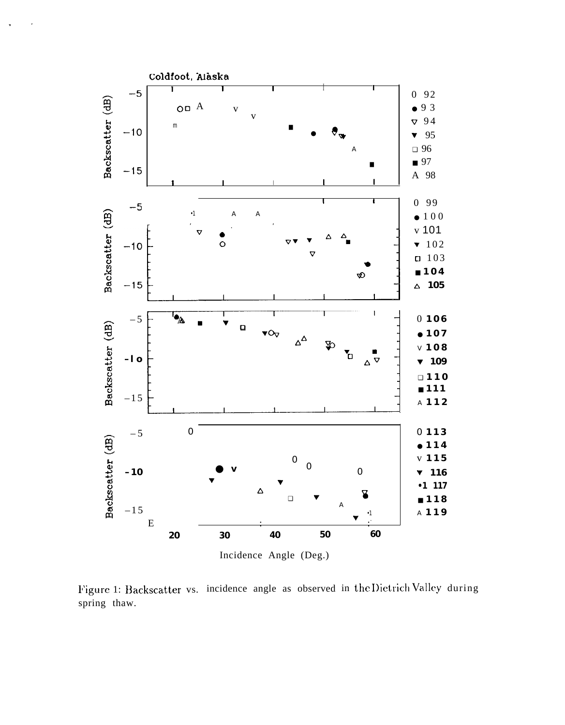

Figure 1: Backscatter vs. incidence angle as observed in the Dietrich Valley during spring thaw.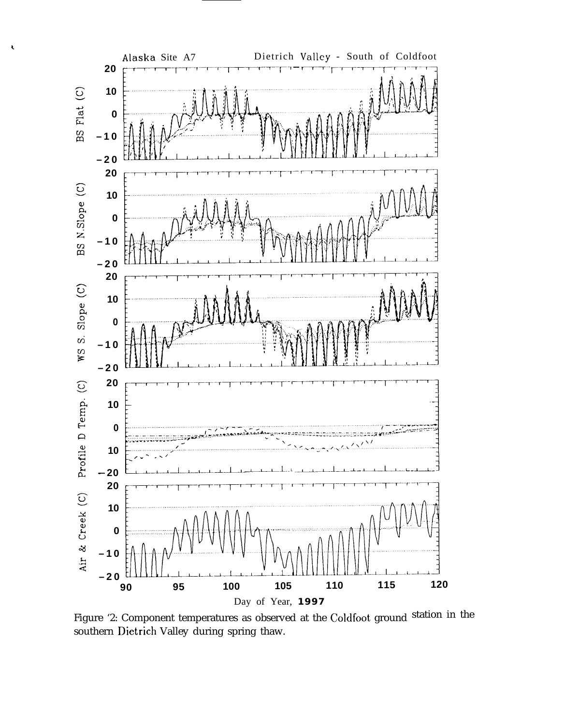

 $\bar{\mathbf{t}}$ 

Figure '2: Component temperatures as observed at the Coldfoot ground station in the southern Dietrich Valley during spring thaw.